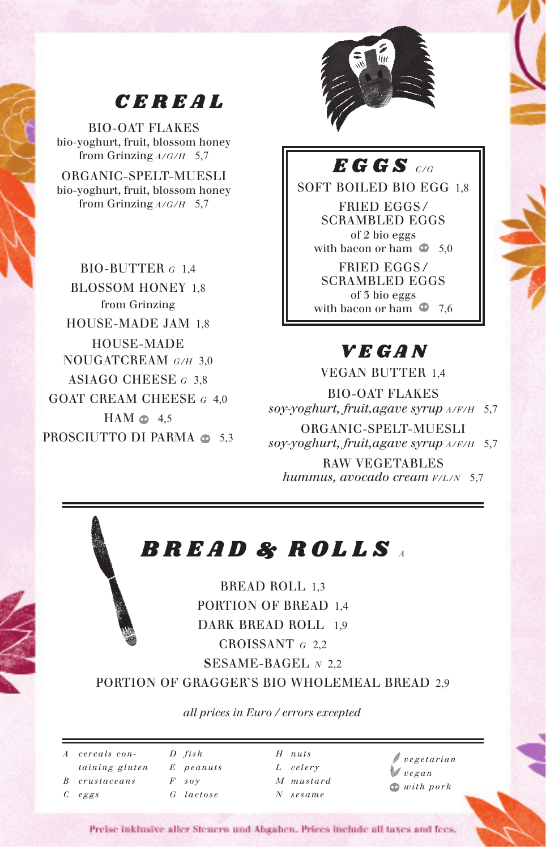

# *CEREAL*

BIO-OAT FLAKES bio-yoghurt, fruit, blossom honey from Grinzing *A/G/H* 5,7

ORGANIC-SPELT-MUESLI bio-yoghurt, fruit, blossom honey from Grinzing *A/G/H* 5,7

BIO-BUTTER *<sup>G</sup>* 1,4 BLOSSOM HONEY 1,8 from Grinzing HOUSE-MADE JAM 1,8 HOUSE-MADE NOUGATCREAM *G/H* 3,0 ASIAGO CHEESE *<sup>G</sup>* 3,8 GOAT CREAM CHEESE *G* 4,0  $HAM \oplus 4.5$ PROSCIUTTO DI PARMA  $\oplus$  5,3

### *EGGS C/G*

SOFT BOILED BIO EGG 1,8 FRIED EGGS / SCRAMBLED EGGS of 2 bio eggs with bacon or ham  $\Phi$  5,0 FRIED EGGS / SCRAMBLED EGGS of 3 bio eggs with bacon or ham  $\Phi$  7.6

## *VEGAN*

VEGAN BUTTER 14 BIO-OAT FLAKES *soy-yoghurt, fruit,agave syrup A/F/H* 5,7 ORGANIC-SPELT-MUESLI *soy-yoghurt, fruit,agave syrup A/F/H* 5,7 RAW VEGETABLES *hummus, avocado cream F/L/N* 5,7

# *BREAD & ROLLS <sup>A</sup>*

BREAD ROLL 1,3 PORTION OF BREAD 1,4 DARK BREAD ROLL 1,9 CROISSANT *<sup>G</sup>* 2,2 **S**ESAME-BAGEL *<sup>N</sup>* 2,2

PORTION OF GRAGGER`S BIO WHOLEMEAL BREAD 2,9

*all prices in Euro / errors excepted*

*A cereals containing gluten B crustaceans C eggs D fish E peanuts F soy G lactose H nuts L celery M mustard N sesame vegetarian vegan with pork*

Preise inklusive aller Steuern und Abgahen. Prices include all taxes and fees.